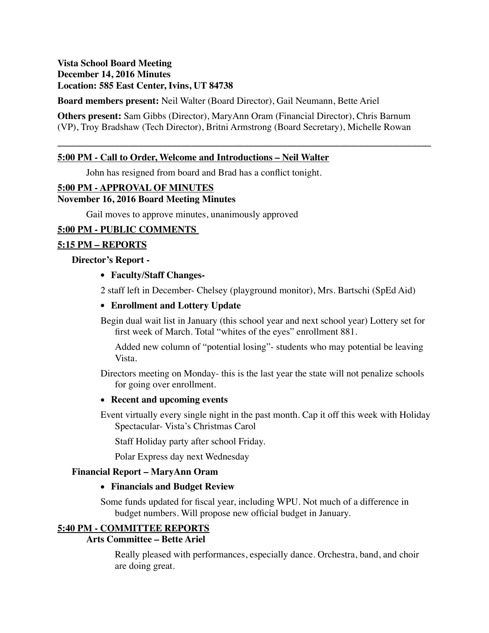### **Vista School Board Meeting December 14, 2016 Minutes Location: 585 East Center, Ivins, UT 84738**

**Board members present:** Neil Walter (Board Director), Gail Neumann, Bette Ariel

**Others present:** Sam Gibbs (Director), MaryAnn Oram (Financial Director), Chris Barnum (VP), Troy Bradshaw (Tech Director), Britni Armstrong (Board Secretary), Michelle Rowan

**\_\_\_\_\_\_\_\_\_\_\_\_\_\_\_\_\_\_\_\_\_\_\_\_\_\_\_\_\_\_\_\_\_\_\_\_\_\_\_\_\_\_\_\_\_\_\_\_\_\_\_\_\_\_\_\_\_\_\_\_\_\_\_\_\_\_\_\_\_\_\_\_\_\_\_\_\_\_**

### **5:00 PM - Call to Order, Welcome and Introductions – Neil Walter**

John has resigned from board and Brad has a conflict tonight.

### **5:00 PM - APPROVAL OF MINUTES**

#### **November 16, 2016 Board Meeting Minutes**

Gail moves to approve minutes, unanimously approved

### **5:00 PM - PUBLIC COMMENTS**

#### **5:15 PM – REPORTS**

#### **Director's Report -**

#### **• Faculty/Staff Changes-**

2 staff left in December- Chelsey (playground monitor), Mrs. Bartschi (SpEd Aid)

#### **• Enrollment and Lottery Update**

Begin dual wait list in January (this school year and next school year) Lottery set for first week of March. Total "whites of the eyes" enrollment 881.

Added new column of "potential losing"- students who may potential be leaving Vista.

Directors meeting on Monday- this is the last year the state will not penalize schools for going over enrollment.

#### **• Recent and upcoming events**

Event virtually every single night in the past month. Cap it off this week with Holiday Spectacular- Vista's Christmas Carol

Staff Holiday party after school Friday.

Polar Express day next Wednesday

#### **Financial Report – MaryAnn Oram**

#### **• Financials and Budget Review**

Some funds updated for fiscal year, including WPU. Not much of a difference in budget numbers. Will propose new official budget in January.

### **5:40 PM - COMMITTEE REPORTS**

### **Arts Committee – Bette Ariel**

Really pleased with performances, especially dance. Orchestra, band, and choir are doing great.